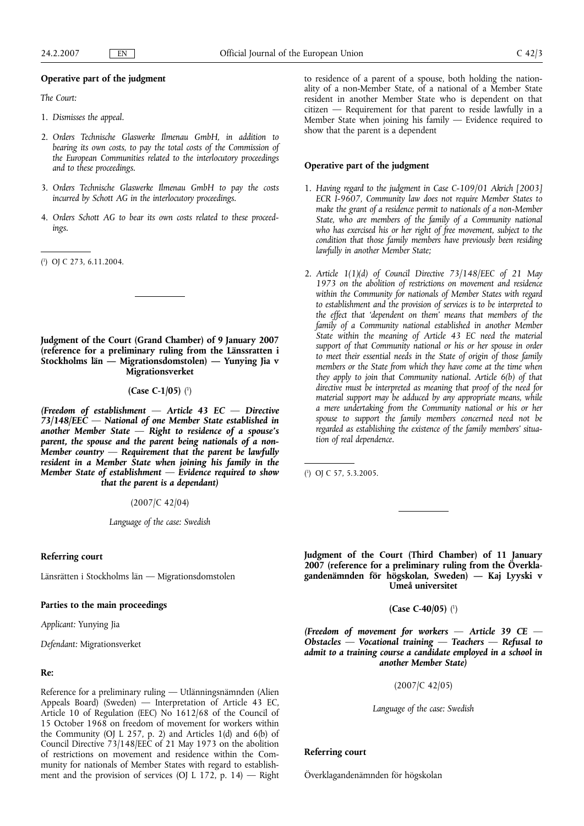## **Operative part of the judgment**

*The Court:*

- 1. *Dismisses the appeal.*
- 2. *Orders Technische Glaswerke Ilmenau GmbH, in addition to bearing its own costs, to pay the total costs of the Commission of the European Communities related to the interlocutory proceedings and to these proceedings.*
- 3. *Orders Technische Glaswerke Ilmenau GmbH to pay the costs incurred by Schott AG in the interlocutory proceedings.*
- 4. *Orders Schott AG to bear its own costs related to these proceedings.*
- ( 1 ) OJ C 273, 6.11.2004.

**Judgment of the Court (Grand Chamber) of 9 January 2007 (reference for a preliminary ruling from the Länssratten i Stockholms län — Migrationsdomstolen) — Yunying Jia v Migrationsverket**

### **(Case C-1/05)** ( 1 )

*(Freedom of establishment — Article 43 EC — Directive 73/148/EEC — National of one Member State established in another Member State — Right to residence of a spouse's parent, the spouse and the parent being nationals of a non-Member country — Requirement that the parent be lawfully resident in a Member State when joining his family in the Member State of establishment — Evidence required to show that the parent is a dependant)*

(2007/C 42/04)

*Language of the case: Swedish*

## **Referring court**

Länsrätten i Stockholms län — Migrationsdomstolen

# **Parties to the main proceedings**

*Applicant:* Yunying Jia

*Defendant:* Migrationsverket

# **Re:**

Reference for a preliminary ruling — Utlänningsnämnden (Alien Appeals Board) (Sweden) — Interpretation of Article 43 EC, Article 10 of Regulation (EEC) No 1612/68 of the Council of 15 October 1968 on freedom of movement for workers within the Community (OJ L 257, p. 2) and Articles 1(d) and 6(b) of Council Directive 73/148/EEC of 21 May 1973 on the abolition of restrictions on movement and residence within the Community for nationals of Member States with regard to establishment and the provision of services (OJ L 172, p. 14) — Right to residence of a parent of a spouse, both holding the nationality of a non-Member State, of a national of a Member State resident in another Member State who is dependent on that citizen — Requirement for that parent to reside lawfully in a Member State when joining his family — Evidence required to show that the parent is a dependent

# **Operative part of the judgment**

- 1. *Having regard to the judgment in Case C-109/01 Akrich [2003] ECR I-9607, Community law does not require Member States to make the grant of a residence permit to nationals of a non-Member State, who are members of the family of a Community national who has exercised his or her right of free movement, subject to the condition that those family members have previously been residing lawfully in another Member State;*
- 2. *Article 1(1)(d) of Council Directive 73/148/EEC of 21 May 1973 on the abolition of restrictions on movement and residence within the Community for nationals of Member States with regard to establishment and the provision of services is to be interpreted to the effect that 'dependent on them' means that members of the family of a Community national established in another Member State within the meaning of Article 43 EC need the material support of that Community national or his or her spouse in order to meet their essential needs in the State of origin of those family members or the State from which they have come at the time when they apply to join that Community national. Article 6(b) of that directive must be interpreted as meaning that proof of the need for material support may be adduced by any appropriate means, while a mere undertaking from the Community national or his or her spouse to support the family members concerned need not be regarded as establishing the existence of the family members' situation of real dependence.*

( 1 ) OJ C 57, 5.3.2005.

**Judgment of the Court (Third Chamber) of 11 January 2007 (reference for a preliminary ruling from the Överklagandenämnden för högskolan, Sweden) — Kaj Lyyski v Umeå universitet**

**(Case C-40/05)** ( 1 )

*(Freedom of movement for workers — Article 39 CE — Obstacles — Vocational training — Teachers — Refusal to admit to a training course a candidate employed in a school in another Member State)*

(2007/C 42/05)

*Language of the case: Swedish*

# **Referring court**

Överklagandenämnden för högskolan